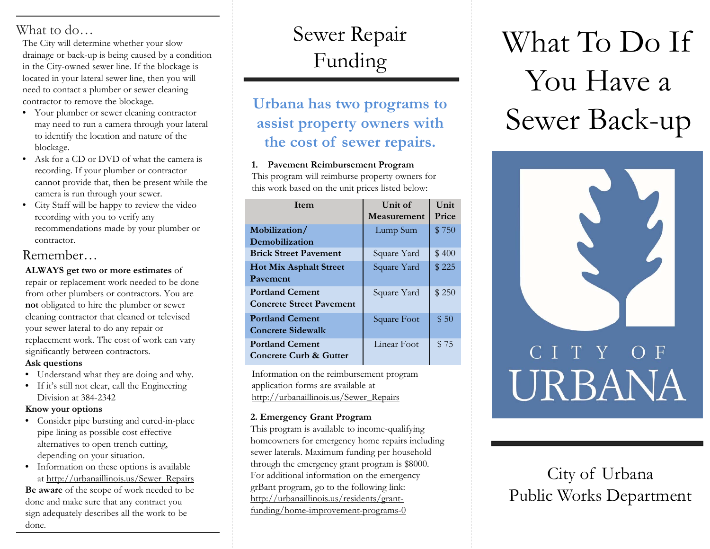The City will determine whether your slow drainage or back-up is being caused by a condition in the City-owned sewer line. If the blockage is located in your lateral sewer line, then you will need to contact a plumber or sewer cleaning contractor to remove the blockage.

- Your plumber or sewer cleaning contractor may need to run a camera through your lateral to identify the location and nature of the blockage.
- Ask for a CD or DVD of what the camera is recording. If your plumber or contractor cannot provide that, then be present while the camera is run through your sewer.
- City Staff will be happy to review the video recording with you to verify any recommendations made by your plumber or contractor.

### Remember…

**ALWAYS get two or more estimates** of

repair or replacement work needed to be done from other plumbers or contractors. You are **not** obligated to hire the plumber or sewer cleaning contractor that cleaned or televised your sewer lateral to do any repair or replacement work. The cost of work can vary significantly between contractors.

### **Ask questions**

- Understand what they are doing and why.
- If it's still not clear, call the Engineering Division at 384-2342

#### **Know your options**

- Consider pipe bursting and cured-in-place pipe lining as possible cost effective alternatives to open trench cutting, depending on your situation.
- Information on these options is available at http://urbanaillinois.us/Sewer\_Repairs **Be aware** of the scope of work needed to be done and make sure that any contract you sign adequately describes all the work to be done.

## Sewer Repair Funding

### **Urbana has two programs to assist property owners with the cost of sewer repairs.**

### **1. Pavement Reimbursement Program**

This program will reimburse property owners for this work based on the unit prices listed below:

| <b>I</b> tem                    | Unit of<br>Measurement | Unit<br>Price |
|---------------------------------|------------------------|---------------|
|                                 |                        |               |
| Mobilization/                   | Lump Sum               | \$750         |
| Demobilization                  |                        |               |
| <b>Brick Street Pavement</b>    | Square Yard            | \$400         |
| <b>Hot Mix Asphalt Street</b>   | Square Yard            | \$225         |
| Pavement                        |                        |               |
| <b>Portland Cement</b>          | Square Yard            | \$250         |
| <b>Concrete Street Pavement</b> |                        |               |
| <b>Portland Cement</b>          | Square Foot            | \$50          |
| <b>Concrete Sidewalk</b>        |                        |               |
| <b>Portland Cement</b>          | Linear Foot            | \$75          |
| Concrete Curb & Gutter          |                        |               |

Information on the reimbursement program application forms are available at http://urbanaillinois.us/Sewer\_Repairs

### **2. Emergency Grant Program**

This program is available to income-qualifying homeowners for emergency home repairs including sewer laterals. Maximum funding per household through the emergency grant program is \$8000. For additional information on the emergency grBant program, go to the following link: http://urbanaillinois.us/residents/grantfunding/home-improvement-programs-0

# What to do…<br>The City will determine whether your slow Sewer Repair What To Do If You Have a Sewer Back-up



City of Urbana Public Works Department